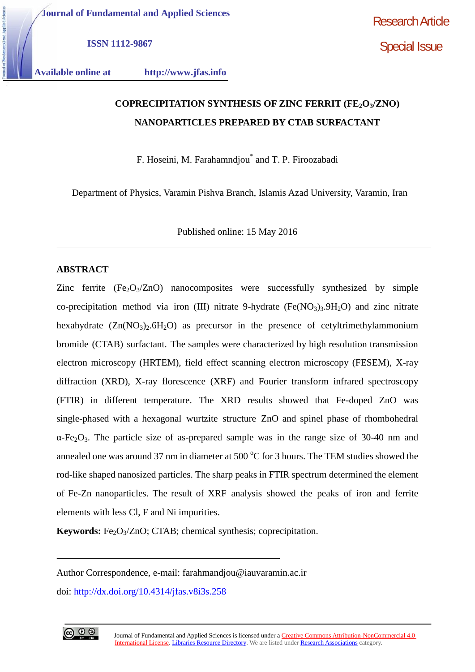**ISSN 1112-9867**

**Available online at http://www.jfas.info**

# **COPRECIPITATION SYNTHESIS OF ZINC FERRIT (FE2O3/ZNO) NANOPARTICLES PREPARED BY CTAB SURFACTANT**

F. Hoseini, M. Farahamndjou\* and T. P. Firoozabadi

Department of Physics, Varamin Pishva Branch, Islamis Azad University, Varamin, Iran

Published online: 15 May 2016

# **ABSTRACT**

Zinc ferrite  $(Fe<sub>2</sub>O<sub>3</sub>/ZnO)$  nanocomposites were successfully synthesized by simple co-precipitation method via iron (III) nitrate 9-hydrate ( $Fe(NO<sub>3</sub>)<sub>3</sub>$ ,  $9H<sub>2</sub>O$ ) and zinc nitrate hexahydrate  $(Zn(NO<sub>3</sub>)<sub>2</sub>·6H<sub>2</sub>O)$  as precursor in the presence of cetyltrimethylammonium bromide (CTAB) surfactant. The samples were characterized by high resolution transmission electron microscopy (HRTEM), field effect scanning electron microscopy (FESEM), X-ray diffraction (XRD), X-ray florescence (XRF) and Fourier transform infrared spectroscopy (FTIR) in different temperature. The XRD results showed that Fe-doped ZnO was single-phased with a hexagonal wurtzite structure ZnO and spinel phase of rhombohedral  $-Fe<sub>2</sub>O<sub>3</sub>$ . The particle size of as-prepared sample was in the range size of 30-40 nm and annealed one was around 37 nm in diameter at 500  $\rm{^{\circ}C}$  for 3 hours. The TEM studies showed the rod-like shaped nanosized particles. The sharp peaks in FTIR spectrum determined the element of Fe-Zn nanoparticles. The result of XRF analysis showed the peaks of iron and ferrite elements with less Cl, F and Ni impurities.

**Keywords:** Fe<sub>2</sub>O<sub>3</sub>/ZnO; CTAB; chemical synthesis; coprecipitation.

doi: http://dx.doi.org/10.4314/jfas.v8i3s.258



Author Correspondence, e-mail: farahmandjou@iauvaramin.ac.ir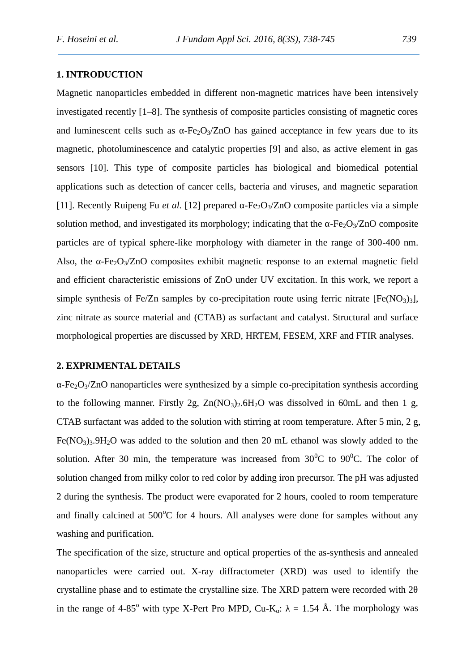# **1. INTRODUCTION**

Magnetic nanoparticles embedded in different non-magnetic matrices have been intensively investigated recently [1–8]. The synthesis of composite particles consisting of magnetic cores and luminescent cells such as  $-Fe<sub>2</sub>O<sub>3</sub>/ZnO$  has gained acceptance in few years due to its magnetic, photoluminescence and catalytic properties [9] and also, as active element in gas sensors [10]. This type of composite particles has biological and biomedical potential applications such as detection of cancer cells, bacteria and viruses, and magnetic separation [11]. Recently Ruipeng Fu *et al.* [12] prepared -Fe<sub>2</sub>O<sub>3</sub>/ZnO composite particles via a simple solution method, and investigated its morphology; indicating that the  $-Fe<sub>2</sub>O<sub>3</sub>/ZnO$  composite particles are of typical sphere-like morphology with diameter in the range of 300-400 nm. Also, the  $-Fe<sub>2</sub>O<sub>3</sub>/ZnO$  composites exhibit magnetic response to an external magnetic field and efficient characteristic emissions of ZnO under UV excitation. In this work, we report a simple synthesis of Fe/Zn samples by co-precipitation route using ferric nitrate  $[Fe(NO<sub>3</sub>)<sub>3</sub>]$ , zinc nitrate as source material and (CTAB) as surfactant and catalyst. Structural and surface morphological properties are discussed by XRD, HRTEM, FESEM, XRF and FTIR analyses.

## **2. EXPRIMENTAL DETAILS**

 $-Fe<sub>2</sub>O<sub>3</sub>/ZnO$  nanoparticles were synthesized by a simple co-precipitation synthesis according to the following manner. Firstly 2g,  $Zn(NO<sub>3</sub>)<sub>2</sub>$ .6H<sub>2</sub>O was dissolved in 60mL and then 1 g, CTAB surfactant was added to the solution with stirring at room temperature. After 5 min, 2 g, Fe(NO<sub>3</sub>)<sub>3</sub>.9H<sub>2</sub>O was added to the solution and then 20 mL ethanol was slowly added to the solution. After 30 min, the temperature was increased from  $30^0C$  to  $90^0C$ . The color of solution changed from milky color to red color by adding iron precursor. The pH was adjusted 2 during the synthesis. The product were evaporated for 2 hours, cooled to room temperature and finally calcined at  $500^{\circ}$ C for 4 hours. All analyses were done for samples without any washing and purification.

The specification of the size, structure and optical properties of the as-synthesis and annealed nanoparticles were carried out. X-ray diffractometer (XRD) was used to identify the crystalline phase and to estimate the crystalline size. The XRD pattern were recorded with 2 in the range of 4-85<sup>o</sup> with type X-Pert Pro MPD, Cu-K :  $= 1.54$  Å. The morphology was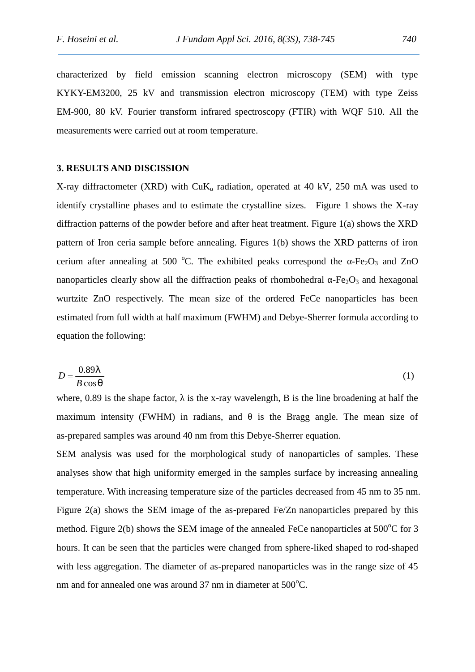characterized by field emission scanning electron microscopy (SEM) with type KYKY-EM3200, 25 kV and transmission electron microscopy (TEM) with type Zeiss EM-900, 80 kV. Fourier transform infrared spectroscopy (FTIR) with WQF 510. All the measurements were carried out at room temperature.

#### **3. RESULTS AND DISCISSION**

X-ray diffractometer (XRD) with CuK radiation, operated at 40 kV*,* 250 mA was used to identify crystalline phases and to estimate the crystalline sizes. Figure 1 shows the X-ray diffraction patterns of the powder before and after heat treatment. Figure 1(a) shows the XRD pattern of Iron ceria sample before annealing. Figures 1(b) shows the XRD patterns of iron cerium after annealing at 500 °C. The exhibited peaks correspond the  $-Fe<sub>2</sub>O<sub>3</sub>$  and ZnO nanoparticles clearly show all the diffraction peaks of rhombohedral  $-Fe<sub>2</sub>O<sub>3</sub>$  and hexagonal wurtzite ZnO respectively. The mean size of the ordered FeCe nanoparticles has been estimated from full width at half maximum (FWHM) and Debye-Sherrer formula according to equation the following:

$$
D = \frac{0.89}{B \cos_{\theta}}
$$
 (1)

where,  $0.89$  is the shape factor, is the x-ray wavelength, B is the line broadening at half the maximum intensity (FWHM) in radians, and is the Bragg angle. The mean size of as-prepared samples was around 40 nm from this Debye-Sherrer equation.

SEM analysis was used for the morphological study of nanoparticles of samples. These analyses show that high uniformity emerged in the samples surface by increasing annealing temperature. With increasing temperature size of the particles decreased from 45 nm to 35 nm. Figure 2(a) shows the SEM image of the as-prepared Fe/Zn nanoparticles prepared by this method. Figure 2(b) shows the SEM image of the annealed FeCe nanoparticles at  $500^{\circ}$ C for 3 hours. It can be seen that the particles were changed from sphere-liked shaped to rod-shaped with less aggregation. The diameter of as-prepared nanoparticles was in the range size of 45 nm and for annealed one was around  $37$  nm in diameter at  $500^{\circ}$ C.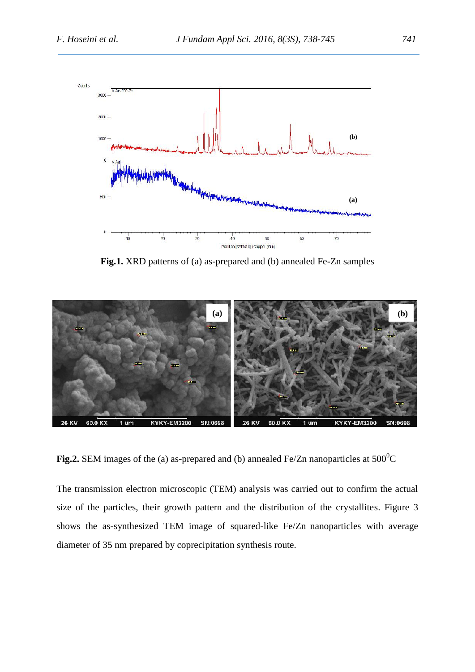

**Fig.1.** XRD patterns of (a) as-prepared and (b) annealed Fe-Zn samples



**Fig.2.** SEM images of the (a) as-prepared and (b) annealed Fe/Zn nanoparticles at  $500^{\circ}$ C

The transmission electron microscopic (TEM) analysis was carried out to confirm the actual size of the particles, their growth pattern and the distribution of the crystallites. Figure 3 shows the as-synthesized TEM image of squared-like Fe/Zn nanoparticles with average diameter of 35 nm prepared by coprecipitation synthesis route.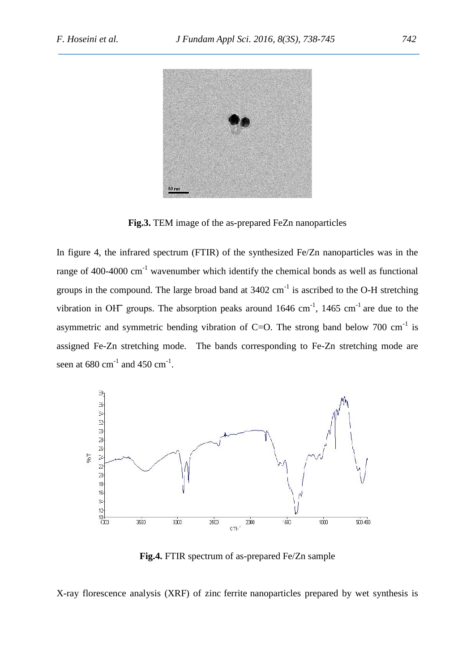

**Fig.3.** TEM image of the as-prepared FeZn nanoparticles

In figure 4, the infrared spectrum (FTIR) of the synthesized Fe/Zn nanoparticles was in the range of 400-4000  $cm^{-1}$  wavenumber which identify the chemical bonds as well as functional groups in the compound. The large broad band at  $3402 \text{ cm}^{-1}$  is ascribed to the O-H stretching In figure 4, the infrared spectrum (FTIR) of the synthesized Fe/Zn nanotrange of 400-4000 cm<sup>-1</sup> wavenumber which identify the chemical bonds groups in the compound. The large broad band at 3402 cm<sup>-1</sup> is ascribed to vibr vibration in OH groups. The absorption peaks around 1646 cm<sup>-1</sup>, 1465 cm<sup>-1</sup> are due to the asymmetric and symmetric bending vibration of C=O. The strong band below 700  $\text{cm}^{-1}$  is assigned Fe-Zn stretching mode. The bands corresponding to Fe-Zn stretching mode are seen at  $680 \text{ cm}^{-1}$  and  $450 \text{ cm}^{-1}$ .



**Fig.4.** FTIR spectrum of as-prepared Fe/Zn sample

X-ray florescence analysis (XRF) of zinc ferrite nanoparticles prepared by wet synthesis is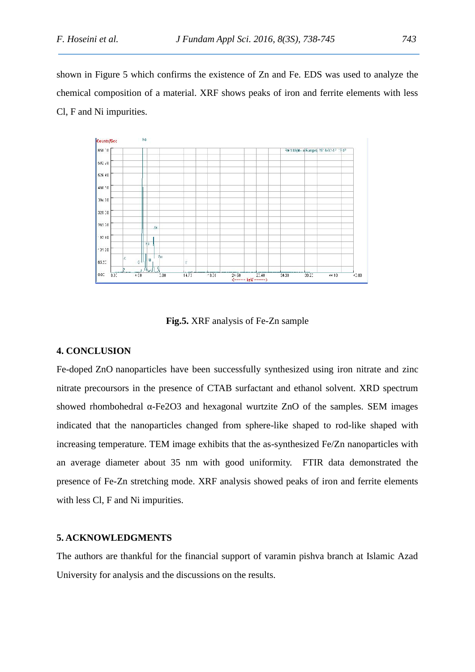shown in Figure 5 which confirms the existence of Zn and Fe. EDS was used to analyze the chemical composition of a material. XRF shows peaks of iron and ferrite elements with less Cl, F and Ni impurities.



**Fig.5.** XRF analysis of Fe-Zn sample

## **4. CONCLUSION**

Fe-doped ZnO nanoparticles have been successfully synthesized using iron nitrate and zinc nitrate precoursors in the presence of CTAB surfactant and ethanol solvent. XRD spectrum showed rhombohedral -Fe2O3 and hexagonal wurtzite ZnO of the samples. SEM images indicated that the nanoparticles changed from sphere-like shaped to rod-like shaped with increasing temperature. TEM image exhibits that the as-synthesized Fe/Zn nanoparticles with an average diameter about 35 nm with good uniformity. FTIR data demonstrated the presence of Fe-Zn stretching mode. XRF analysis showed peaks of iron and ferrite elements with less Cl, F and Ni impurities.

#### **5. ACKNOWLEDGMENTS**

The authors are thankful for the financial support of varamin pishva branch at Islamic Azad University for analysis and the discussions on the results.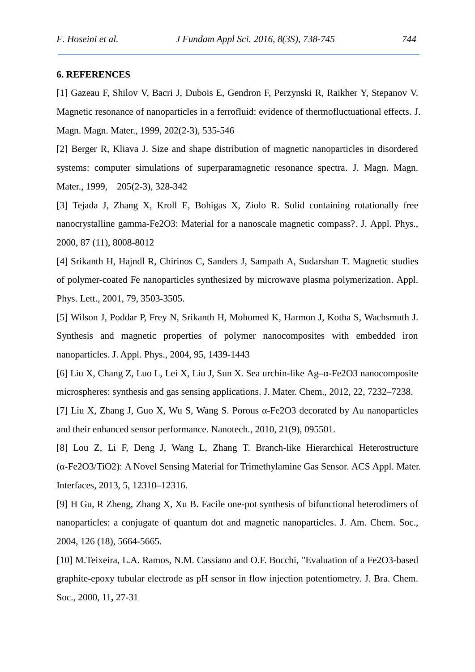## **6. REFERENCES**

[1] Gazeau F, Shilov V, Bacri J, Dubois E, Gendron F, Perzynski R, Raikher Y, Stepanov V. Magnetic resonance of nanoparticles in a ferrofluid: evidence of thermofluctuational effects. J. Magn. Magn. Mater., 1999, 202(2-3), 535-546

[2] Berger R, Kliava J. Size and shape distribution of magnetic nanoparticles in disordered systems: computer simulations of superparamagnetic resonance spectra. J. Magn. Magn. Mater., 1999, 205(2-3), 328-342

[3] Tejada J, Zhang X, Kroll E, Bohigas X, Ziolo R. Solid containing rotationally free nanocrystalline gamma-Fe2O3: Material for a nanoscale magnetic compass?. J. Appl. Phys., 2000, 87 (11), 8008-8012

[4] Srikanth H, Hajndl R, Chirinos C, Sanders J, Sampath A, Sudarshan T. Magnetic studies of polymer-coated Fe nanoparticles synthesized by microwave plasma polymerization. Appl. Phys. Lett., 2001, 79, 3503-3505.

[5] Wilson J, Poddar P, Frey N, Srikanth H, Mohomed K, Harmon J, Kotha S, Wachsmuth J. Synthesis and magnetic properties of polymer nanocomposites with embedded iron nanoparticles. J. Appl. Phys., 2004, 95, 1439-1443

[6] Liu X, Chang Z, Luo L, Lei X, Liu J, Sun X. Sea urchin-like Ag– -Fe2O3 nanocomposite microspheres: synthesis and gas sensing applications. J. Mater. Chem., 2012, 22, 7232–7238.

[7] Liu X, Zhang J, Guo X, Wu S, Wang S. Porous - Fe2O3 decorated by Au nanoparticles and their enhanced sensor performance. Nanotech., 2010, 21(9), 095501.

[8] Lou Z, Li F, Deng J, Wang L, Zhang T. Branch-like Hierarchical Heterostructure (α-Fe2O3/TiO2): A Novel Sensing Material for Trimethylamine Gas Sensor. ACS Appl. Mater. Interfaces, 2013, 5, 12310–12316.

[9] H Gu, R Zheng, Zhang X, Xu B. Facile one-pot synthesis of bifunctional heterodimers of nanoparticles: a conjugate of quantum dot and magnetic nanoparticles. J. Am. Chem. Soc., 2004, 126 (18), 5664-5665.

[10] M.Teixeira, L.A. Ramos, N.M. Cassiano and O.F. Bocchi, "Evaluation of a Fe2O3-based graphite-epoxy tubular electrode as pH sensor in flow injection potentiometry. J. Bra. Chem. Soc., 2000, 11**,** 27-31